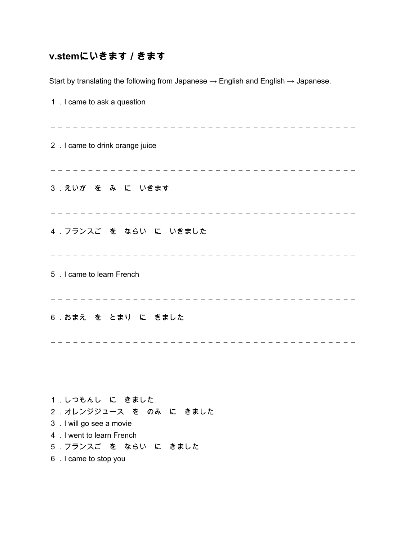## **v.stem**にいきます/きます

Start by translating the following from Japanese  $\rightarrow$  English and English  $\rightarrow$  Japanese.

| 1 . I came to ask a question                                                                                                                             |
|----------------------------------------------------------------------------------------------------------------------------------------------------------|
| 2 . I came to drink orange juice                                                                                                                         |
| 3. えいが を み に いきます                                                                                                                                        |
| 4. フランスご を ならい に いきました<br>_____________________                                                                                                          |
| 5 . I came to learn French                                                                                                                               |
| 6 . おまえ を とまり に きました                                                                                                                                     |
|                                                                                                                                                          |
| 1.しつもんし に きました<br>2 . オレンジジュース を のみ に きました<br>3 . I will go see a movie<br>4 . I went to learn French<br>5. フランスご を ならい に きました<br>6 . I came to stop you |